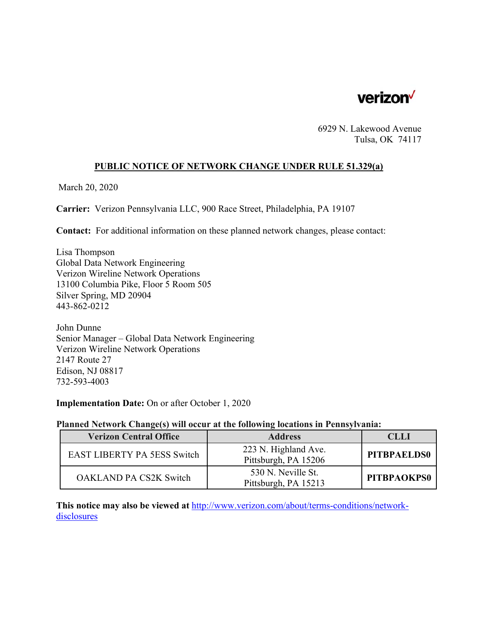

6929 N. Lakewood Avenue Tulsa, OK 74117

# **PUBLIC NOTICE OF NETWORK CHANGE UNDER RULE 51.329(a)**

March 20, 2020

**Carrier:** Verizon Pennsylvania LLC, 900 Race Street, Philadelphia, PA 19107

**Contact:** For additional information on these planned network changes, please contact:

Lisa Thompson Global Data Network Engineering Verizon Wireline Network Operations 13100 Columbia Pike, Floor 5 Room 505 Silver Spring, MD 20904 443-862-0212

John Dunne Senior Manager – Global Data Network Engineering Verizon Wireline Network Operations 2147 Route 27 Edison, NJ 08817 732-593-4003

**Implementation Date:** On or after October 1, 2020

#### **Planned Network Change(s) will occur at the following locations in Pennsylvania:**

| <b>Verizon Central Office</b>      | <b>Address</b>                               | CLLI               |
|------------------------------------|----------------------------------------------|--------------------|
| <b>EAST LIBERTY PA 5ESS Switch</b> | 223 N. Highland Ave.<br>Pittsburgh, PA 15206 | <b>PITBPAELDS0</b> |
| <b>OAKLAND PA CS2K Switch</b>      | 530 N. Neville St.<br>Pittsburgh, PA 15213   | PITBPAOKPS0        |

**This notice may also be viewed at** http://www.verizon.com/about/terms-conditions/networkdisclosures